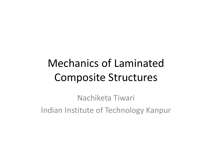# Mechanics of LaminatedComposite Structures

Nachiketa Tiwari Indian Institute of Technology Kanpur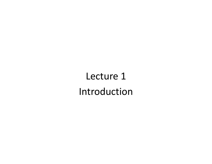Lecture 1 Introduction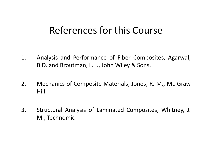#### References for this Course

- 1. Analysis and Performance of Fiber Composites, Agarwal, B.D. and Broutman, L. J., John Wiley & Sons.
- 2. Mechanics of Composite Materials, Jones, R. M., Mc‐Graw Hill
- 3. Structural Analysis of Laminated Composites, Whitney, J. M., Technomic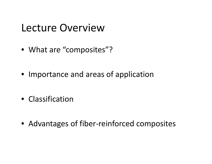#### Lecture Overview

- What are "composites"?
- Importance and areas of application
- Classification
- Advantages of fiber‐reinforced composites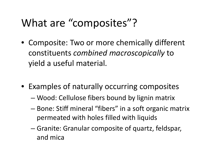#### What are "composites"?

- Composite: Two or more chemically different constit t uen <sup>s</sup> *combi d ne macroscopi ll cay* to yield <sup>a</sup> useful material.
- Examples of naturally occurring composites
	- –Wood: Cellulose fibers bound by lignin matrix
	- – Bone: Stiff mineral "fibers" in <sup>a</sup> soft organic matrix permeated with holes filled with liquids
	- – Granite: Granular composite of quartz, feldspar, and mica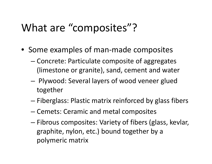## What are "composites"?

- Some examples of man‐made composites
	- – Concrete: Particulate composite of aggregates (limestone or granite), sand, cement and water
	- – Plywood: Several layers of wood veneer glued together
	- –— Fiberglass: Plastic matrix reinforced by glass fibers
	- –– Cemets: Ceramic and metal composites
	- –— Fibrous composites: Variety of fibers (glass, kevlar, graphite, nylon, etc.) bound together by <sup>a</sup> polymeric matrix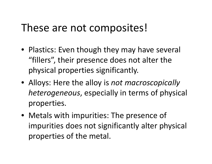#### These are not composites!

- Plastics: Even though they may have several "fillers", their presence does not alter the physical properties significantly.
- Alloys: Here the alloy is *not macroscopically heterogeneous*, especially in terms of physical properties.
- Metals with impurities: The presence of impurities does not significantly alter physical properties of the metal.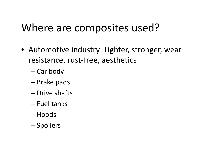- Automotive industry: Lighter, stronger, wear resistance, rust‐free, aesthetics
	- –— Car body
	- –Brake pads
	- Drive shafts
	- Fuel tanks
	- Hoods
	- –— Spoilers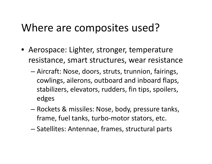- Aerospace: Lighter, stronger, temperature resistance, smart structures, wear resistance
	- –— Aircraft: Nose, doors, struts, trunnion, fairings, cowlings, ailerons, outboard and inboard flaps, stabilizers, elevators, rudders, fin tips, spoilers, edges
	- Rockets & missiles: Nose, body, pressure tanks, frame, fuel tanks, turbo‐motor stators, etc.
	- –— Satellites: Antennae, frames, structural parts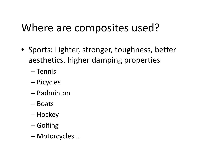- Sports: Lighter, stronger, toughness, better aesthetics, higher damping properties
	- Tennis
	- –— Bicycles
	- Badminton
	- Boats
	- –— Hockey
	- –— Golfing
	- –Motorcycles …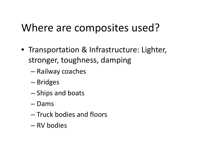- Transportation & Infrastructure: Lighter, stronger, toughness, damping
	- –— Railway coaches
	- –— Bridges
	- – $-$  Ships and boats
	- Dams
	- $-$  Truck bodies and floors
	- RV bodies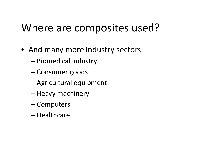- And many more industry sectors
	- –— Biomedical industry
	- –Consumer goods
	- Agricultural equipment
	- Heavy machinery
	- –— Computers
	- $-$  Healthcare